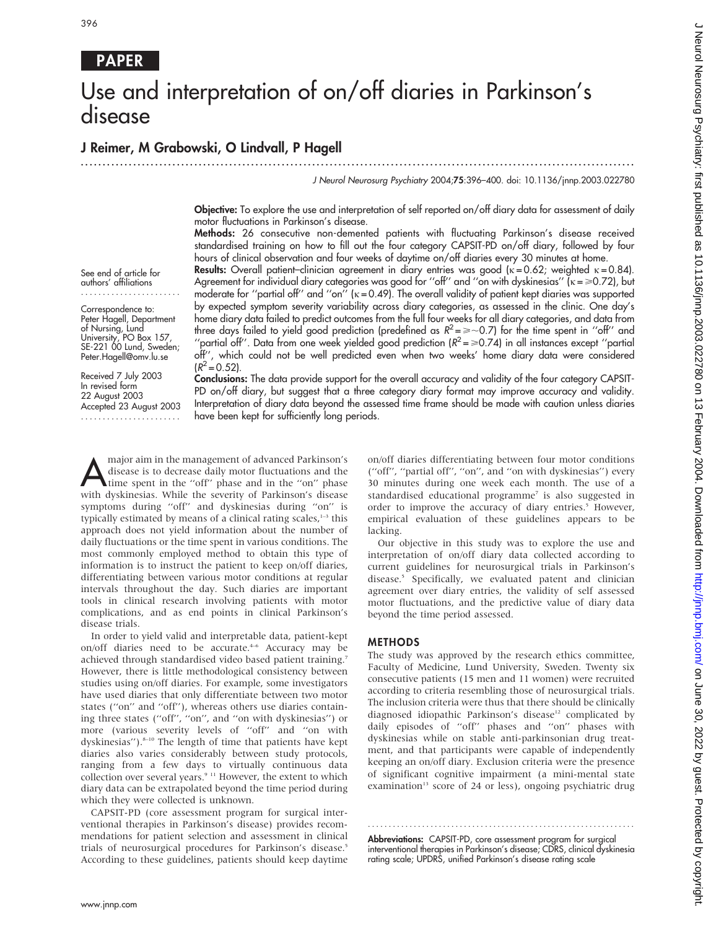# Use and interpretation of on/off diaries in Parkinson's disease

## J Reimer, M Grabowski, O Lindvall, P Hagell

.............................................................................................................................. . J Neurol Neurosurg Psychiatry 2004;75:396–400. doi: 10.1136/jnnp.2003.022780

Objective: To explore the use and interpretation of self reported on/off diary data for assessment of daily

motor fluctuations in Parkinson's disease. Methods: 26 consecutive non-demented patients with fluctuating Parkinson's disease received standardised training on how to fill out the four category CAPSIT-PD on/off diary, followed by four hours of clinical observation and four weeks of daytime on/off diaries every 30 minutes at home.

See end of article for authors' affiliations .......................

Correspondence to: Peter Hagell, Department of Nursing, Lund University, PO Box 157, SE-221 00 Lund, Sweden; Peter.Hagell@omv.lu.se

Received 7 July 2003 In revised form 22 August 2003 Accepted 23 August 2003 .......................

Results: Overall patient–clinician agreement in diary entries was good ( $\kappa = 0.62$ ; weighted  $\kappa = 0.84$ ). Agreement for individual diary categories was good for "off" and "on with dyskinesias"  $\overline{k} = 0.72$ ), but moderate for "partial off" and "on"  $(k = 0.49)$ . The overall validity of patient kept diaries was supported by expected symptom severity variability across diary categories, as assessed in the clinic. One day's home diary data failed to predict outcomes from the full four weeks for all diary categories, and data from three days failed to yield good prediction (predefined as  $R^2 = \geq 0.7$ ) for the time spent in "off" and "partial off". Data from one week yielded good prediction  $(R^2 = \ge 0.74)$  in all instances except "partial off'', which could not be well predicted even when two weeks' home diary data were considered  $(R^2 = 0.52)$ .

Conclusions: The data provide support for the overall accuracy and validity of the four category CAPSIT-PD on/off diary, but suggest that a three category diary format may improve accuracy and validity. Interpretation of diary data beyond the assessed time frame should be made with caution unless diaries have been kept for sufficiently long periods.

major aim in the management of advanced Parkinson's<br>disease is to decrease daily motor fluctuations and the<br>time spent in the "off" phase and in the "on" phase disease is to decrease daily motor fluctuations and the with dyskinesias. While the severity of Parkinson's disease symptoms during ''off'' and dyskinesias during ''on'' is typically estimated by means of a clinical rating scales, $1-3$  this approach does not yield information about the number of daily fluctuations or the time spent in various conditions. The most commonly employed method to obtain this type of information is to instruct the patient to keep on/off diaries, differentiating between various motor conditions at regular intervals throughout the day. Such diaries are important tools in clinical research involving patients with motor complications, and as end points in clinical Parkinson's disease trials.

In order to yield valid and interpretable data, patient-kept on/off diaries need to be accurate.<sup>4-6</sup> Accuracy may be achieved through standardised video based patient training.7 However, there is little methodological consistency between studies using on/off diaries. For example, some investigators have used diaries that only differentiate between two motor states (''on'' and ''off''), whereas others use diaries containing three states (''off'', ''on'', and ''on with dyskinesias'') or more (various severity levels of ''off'' and ''on with dyskinesias").<sup>8-10</sup> The length of time that patients have kept diaries also varies considerably between study protocols, ranging from a few days to virtually continuous data collection over several years.<sup>9 11</sup> However, the extent to which diary data can be extrapolated beyond the time period during which they were collected is unknown.

CAPSIT-PD (core assessment program for surgical interventional therapies in Parkinson's disease) provides recommendations for patient selection and assessment in clinical trials of neurosurgical procedures for Parkinson's disease.<sup>5</sup> According to these guidelines, patients should keep daytime on/off diaries differentiating between four motor conditions (''off'', ''partial off'', ''on'', and ''on with dyskinesias'') every 30 minutes during one week each month. The use of a standardised educational programme<sup>7</sup> is also suggested in order to improve the accuracy of diary entries.<sup>5</sup> However, empirical evaluation of these guidelines appears to be lacking.

Our objective in this study was to explore the use and interpretation of on/off diary data collected according to current guidelines for neurosurgical trials in Parkinson's disease.<sup>5</sup> Specifically, we evaluated patent and clinician agreement over diary entries, the validity of self assessed motor fluctuations, and the predictive value of diary data beyond the time period assessed.

### METHODS

The study was approved by the research ethics committee, Faculty of Medicine, Lund University, Sweden. Twenty six consecutive patients (15 men and 11 women) were recruited according to criteria resembling those of neurosurgical trials. The inclusion criteria were thus that there should be clinically diagnosed idiopathic Parkinson's disease<sup>12</sup> complicated by daily episodes of ''off'' phases and ''on'' phases with dyskinesias while on stable anti-parkinsonian drug treatment, and that participants were capable of independently keeping an on/off diary. Exclusion criteria were the presence of significant cognitive impairment (a mini-mental state examination<sup>13</sup> score of 24 or less), ongoing psychiatric drug

Abbreviations: CAPSIT-PD, core assessment program for surgical interventional therapies in Parkinson's disease; CDRS, clinical dyskinesia rating scale; UPDRS, unified Parkinson's disease rating scale

............................................................... .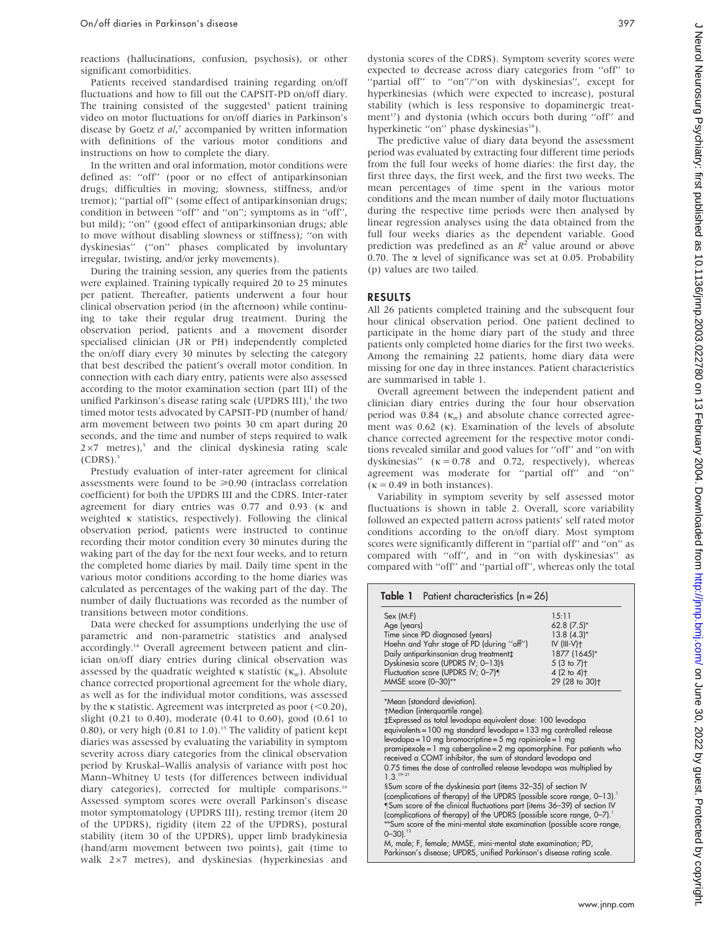reactions (hallucinations, confusion, psychosis), or other significant comorbidities.

Patients received standardised training regarding on/off fluctuations and how to fill out the CAPSIT-PD on/off diary. The training consisted of the suggested<sup>5</sup> patient training video on motor fluctuations for on/off diaries in Parkinson's disease by Goetz et al,<sup>7</sup> accompanied by written information with definitions of the various motor conditions and instructions on how to complete the diary.

In the written and oral information, motor conditions were defined as: ''off'' (poor or no effect of antiparkinsonian drugs; difficulties in moving; slowness, stiffness, and/or tremor); ''partial off'' (some effect of antiparkinsonian drugs; condition in between ''off'' and ''on''; symptoms as in ''off'', but mild); ''on'' (good effect of antiparkinsonian drugs; able to move without disabling slowness or stiffness); ''on with dyskinesias'' (''on'' phases complicated by involuntary irregular, twisting, and/or jerky movements).

During the training session, any queries from the patients were explained. Training typically required 20 to 25 minutes per patient. Thereafter, patients underwent a four hour clinical observation period (in the afternoon) while continuing to take their regular drug treatment. During the observation period, patients and a movement disorder specialised clinician (JR or PH) independently completed the on/off diary every 30 minutes by selecting the category that best described the patient's overall motor condition. In connection with each diary entry, patients were also assessed according to the motor examination section (part III) of the unified Parkinson's disease rating scale (UPDRS III), $<sup>1</sup>$  the two</sup> timed motor tests advocated by CAPSIT-PD (number of hand/ arm movement between two points 30 cm apart during 20 seconds, and the time and number of steps required to walk  $2\times7$  metres),<sup>5</sup> and the clinical dyskinesia rating scale  $(CDRS).$ <sup>3</sup>

Prestudy evaluation of inter-rater agreement for clinical assessments were found to be  $\geq 0.90$  (intraclass correlation coefficient) for both the UPDRS III and the CDRS. Inter-rater agreement for diary entries was 0.77 and 0.93 (k and weighted  $\kappa$  statistics, respectively). Following the clinical observation period, patients were instructed to continue recording their motor condition every 30 minutes during the waking part of the day for the next four weeks, and to return the completed home diaries by mail. Daily time spent in the various motor conditions according to the home diaries was calculated as percentages of the waking part of the day. The number of daily fluctuations was recorded as the number of transitions between motor conditions.

Data were checked for assumptions underlying the use of parametric and non-parametric statistics and analysed accordingly.14 Overall agreement between patient and clinician on/off diary entries during clinical observation was assessed by the quadratic weighted  $\kappa$  statistic ( $\kappa_w$ ). Absolute chance corrected proportional agreement for the whole diary, as well as for the individual motor conditions, was assessed by the k statistic. Agreement was interpreted as poor  $(<0.20)$ , slight (0.21 to 0.40), moderate (0.41 to 0.60), good (0.61 to 0.80), or very high  $(0.81 \text{ to } 1.0)$ .<sup>15</sup> The validity of patient kept diaries was assessed by evaluating the variability in symptom severity across diary categories from the clinical observation period by Kruskal–Wallis analysis of variance with post hoc Mann–Whitney U tests (for differences between individual diary categories), corrected for multiple comparisons.<sup>16</sup> Assessed symptom scores were overall Parkinson's disease motor symptomatology (UPDRS III), resting tremor (item 20 of the UPDRS), rigidity (item 22 of the UPDRS), postural stability (item 30 of the UPDRS), upper limb bradykinesia (hand/arm movement between two points), gait (time to walk  $2\times7$  metres), and dyskinesias (hyperkinesias and dystonia scores of the CDRS). Symptom severity scores were expected to decrease across diary categories from ''off'' to "partial off" to "on"/"on with dyskinesias", except for hyperkinesias (which were expected to increase), postural stability (which is less responsive to dopaminergic treatment<sup>17</sup>) and dystonia (which occurs both during "off" and hyperkinetic "on" phase dyskinesias<sup>18</sup>).

The predictive value of diary data beyond the assessment period was evaluated by extracting four different time periods from the full four weeks of home diaries: the first day, the first three days, the first week, and the first two weeks. The mean percentages of time spent in the various motor conditions and the mean number of daily motor fluctuations during the respective time periods were then analysed by linear regression analyses using the data obtained from the full four weeks diaries as the dependent variable. Good prediction was predefined as an  $R^2$  value around or above 0.70. The  $\alpha$  level of significance was set at 0.05. Probability (p) values are two tailed.

### RESULTS

All 26 patients completed training and the subsequent four hour clinical observation period. One patient declined to participate in the home diary part of the study and three patients only completed home diaries for the first two weeks. Among the remaining 22 patients, home diary data were missing for one day in three instances. Patient characteristics are summarised in table 1.

Overall agreement between the independent patient and clinician diary entries during the four hour observation period was 0.84 ( $\kappa_w$ ) and absolute chance corrected agreement was  $0.62$  ( $\kappa$ ). Examination of the levels of absolute chance corrected agreement for the respective motor conditions revealed similar and good values for ''off'' and ''on with dyskinesias" ( $\kappa = 0.78$  and 0.72, respectively), whereas agreement was moderate for ''partial off'' and ''on''  $(\kappa = 0.49$  in both instances).

Variability in symptom severity by self assessed motor fluctuations is shown in table 2. Overall, score variability followed an expected pattern across patients' self rated motor conditions according to the on/off diary. Most symptom scores were significantly different in ''partial off'' and ''on'' as compared with ''off'', and in ''on with dyskinesias'' as compared with ''off'' and ''partial off'', whereas only the total

| Table 1 Patient characteristics $(n = 26)$ |                            |
|--------------------------------------------|----------------------------|
| Sex (M: F)                                 | 15:11                      |
| Age (years)                                | 62.8 (7.5)*                |
| Time since PD diagnosed (years)            | $13.8(4.3)$ *              |
| Hoehn and Yahr stage of PD (during "off")  | $IV$ (III-V) $+$           |
| Daily antiparkinsonian drug treatment‡     | 1877 (1645)*               |
| Dyskinesia score (UPDRS IV; 0-13)§         | 5(3 to 7) <sup>†</sup>     |
| Fluctuation score (UPDRS IV; 0-7)¶         | $4(2 to 4)$ <sup>+</sup>   |
| MMSE score (0-30)**                        | 29 (28 to 30) <sup>+</sup> |

\*Mean (standard deviation).

-Median (interquartile range). `Expressed as total levodopa equivalent dose: 100 levodopa equivalents = 100 mg standard levodopa = 133 mg controlled release levodopa = 10 mg bromocriptine = 5 mg ropinirole = 1 mg pramipexole = 1 mg cabergoline = 2 mg apomorphine. For patients who received a COMT inhibitor, the sum of standard levodopa and 0.75 times the dose of controlled release levodopa was multiplied by  $1.3<sup>1</sup>$ §Sum score of the dyskinesia part (items 32-35) of section IV (complications of therapy) of the UPDRS (possible score range, 0-13).<sup>1</sup> Sum score of the clinical fluctuations part (items 36–39) of section IV (complications of therapy) of the UPDRS (possible score range, 0-7).<sup>1</sup>

\*\*Sum score of the mini-mental state examination (possible score range,<br>0–30).<sup>13</sup> M, male; F, female; MMSE, mini-mental state examination; PD,

Parkinson's disease; UPDRS, unified Parkinson's disease rating scale.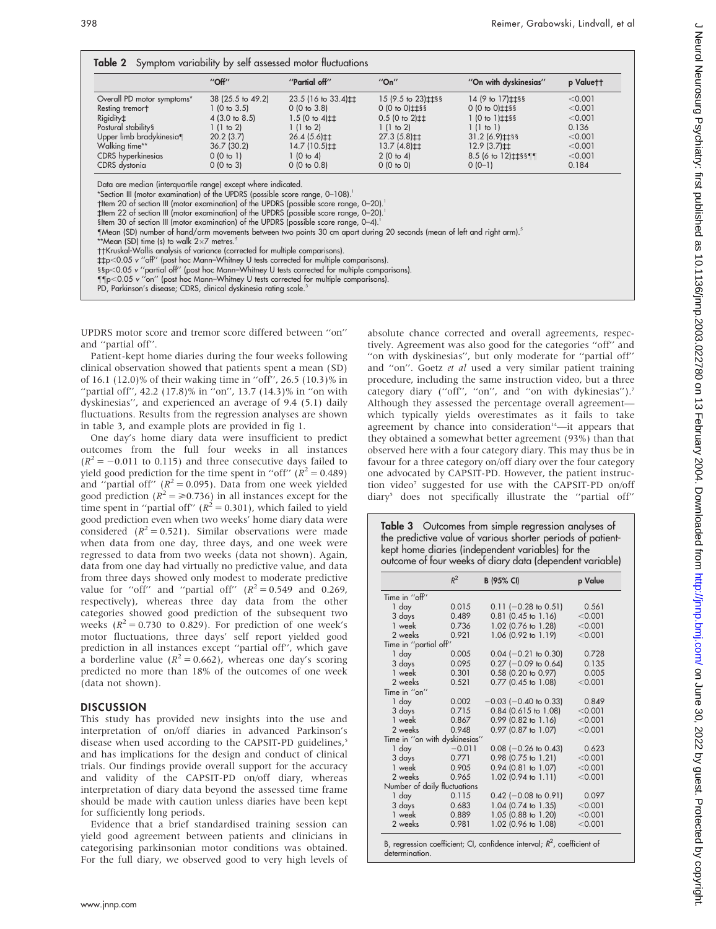|                                                                                                                                                                                                                                                                                                                                                                                                                                                                                                                                                    | $''$ Off $''$            | "Partial off"                                 | ''On''                                                  | "On with dyskinesias"                                                                                                                                                                                                          | p Valuett |
|----------------------------------------------------------------------------------------------------------------------------------------------------------------------------------------------------------------------------------------------------------------------------------------------------------------------------------------------------------------------------------------------------------------------------------------------------------------------------------------------------------------------------------------------------|--------------------------|-----------------------------------------------|---------------------------------------------------------|--------------------------------------------------------------------------------------------------------------------------------------------------------------------------------------------------------------------------------|-----------|
| Overall PD motor symptoms*                                                                                                                                                                                                                                                                                                                                                                                                                                                                                                                         | 38 (25.5 to 49.2)        | $23.5(16 \text{ to } 33.4) \text{+} \text{+}$ | 15 (9.5 to 23) ± ± § §                                  | 14 (9 to 17) \the \text{ \test 0.00 \text{ \test 0.00 \text{ \te 17) \test 0.6 \te 10 \te 10 \te 10 \te 10 \te 10 \te 10 \te 10 \te 10 \te 10 \te 10 \te 10 \te 10 \te 10 \te 10 \te 10 \te 10 \te 10 \te 10 \te 10 \te 10 \te | < 0.001   |
| Resting tremort                                                                                                                                                                                                                                                                                                                                                                                                                                                                                                                                    | $1(0 \text{ to } 3.5)$   | 0(0 to 3.8)                                   | $0(0 to 0)$ $\pm$ $\frac{1}{2}$ §§                      | $0(0 to 0)$ $\pm$ $\pm$ §§                                                                                                                                                                                                     | < 0.001   |
| Rigidity‡                                                                                                                                                                                                                                                                                                                                                                                                                                                                                                                                          | $4(3.0 \text{ to } 8.5)$ | $1.5(0 to 4)$ #                               | $0.5$ (0 to 2) $\pm\pm$                                 | $1(0 to 1)$ $\pm$ $\pm$ §§                                                                                                                                                                                                     | < 0.001   |
| Postural stability <sup>§</sup>                                                                                                                                                                                                                                                                                                                                                                                                                                                                                                                    | 1(1 to 2)                | 1(1 to 2)                                     | 1(1 to 2)                                               | 1(1 to 1)                                                                                                                                                                                                                      | 0.136     |
| Upper limb bradykinesia¶                                                                                                                                                                                                                                                                                                                                                                                                                                                                                                                           | 20.2(3.7)                | $26.4(5.6) \ddagger \ddagger$                 | $27.3(5.8) \text{+} \text{+}$                           | $31.2(6.9) \text{+} \text{+} \text{8}$                                                                                                                                                                                         | < 0.001   |
| Walking time**                                                                                                                                                                                                                                                                                                                                                                                                                                                                                                                                     | 36.7(30.2)               | $14.7(10.5)$ $\pm$                            | $13.7(4.8)$ <sup><math>\pm</math><math>\pm</math></sup> | $12.9(3.7)$ <sup><math>\pm</math><math>\pm</math></sup>                                                                                                                                                                        | < 0.001   |
| CDRS hyperkinesias                                                                                                                                                                                                                                                                                                                                                                                                                                                                                                                                 | 0(0 to 1)                | 1(0 to 4)                                     | 2(0 to 4)                                               |                                                                                                                                                                                                                                | < 0.001   |
| CDRS dystonia                                                                                                                                                                                                                                                                                                                                                                                                                                                                                                                                      | 0(0 to 3)                | 0(0 to 0.8)                                   | 0(0 to 0)                                               | $0(0-1)$                                                                                                                                                                                                                       | 0.184     |
| *Section III (motor examination) of the UPDRS (possible score range, 0-108).<br>them 20 of section III (motor examination) of the UPDRS (possible score range, 0-20).<br>‡Item 22 of section III (motor examination) of the UPDRS (possible score range, 0-20).<br>sitem 30 of section III (motor examination) of the UPDRS (possible score range, 0-4).<br>"Mean (SD) number of hand/arm movements between two points 30 cm apart during 20 seconds (mean of left and right arm).<br>**Mean (SD) time (s) to walk $2\times7$ metres. <sup>5</sup> |                          |                                               |                                                         |                                                                                                                                                                                                                                |           |
| ††Kruskal-Wallis analysis of variance (corrected for multiple comparisons).                                                                                                                                                                                                                                                                                                                                                                                                                                                                        |                          |                                               |                                                         |                                                                                                                                                                                                                                |           |
| $\pm$ tp<0.05 v "off" (post hoc Mann-Whitney U tests corrected for multiple comparisons).                                                                                                                                                                                                                                                                                                                                                                                                                                                          |                          |                                               |                                                         |                                                                                                                                                                                                                                |           |
| §§p<0.05 v "partial off" (post hoc Mann-Whitney U tests corrected for multiple comparisons).<br>$\P$ $p$ <0.05 v "on" (post hoc Mann-Whitney U tests corrected for multiple comparisons).                                                                                                                                                                                                                                                                                                                                                          |                          |                                               |                                                         |                                                                                                                                                                                                                                |           |
| PD, Parkinson's disease; CDRS, clinical dyskinesia rating scale. <sup>3</sup>                                                                                                                                                                                                                                                                                                                                                                                                                                                                      |                          |                                               |                                                         |                                                                                                                                                                                                                                |           |
|                                                                                                                                                                                                                                                                                                                                                                                                                                                                                                                                                    |                          |                                               |                                                         |                                                                                                                                                                                                                                |           |

UPDRS motor score and tremor score differed between ''on'' and ''partial off''.

Patient-kept home diaries during the four weeks following clinical observation showed that patients spent a mean (SD) of 16.1 (12.0)% of their waking time in ''off'', 26.5 (10.3)% in "partial off", 42.2 (17.8)% in "on", 13.7 (14.3)% in "on with dyskinesias'', and experienced an average of 9.4 (5.1) daily fluctuations. Results from the regression analyses are shown in table 3, and example plots are provided in fig 1.

One day's home diary data were insufficient to predict outcomes from the full four weeks in all instances  $(R^{2} = -0.011$  to 0.115) and three consecutive days failed to yield good prediction for the time spent in "off" ( $R^2 = 0.489$ ) and "partial off" ( $R^2 = 0.095$ ). Data from one week yielded good prediction ( $R^2 = \ge 0.736$ ) in all instances except for the time spent in "partial off" ( $R^2 = 0.301$ ), which failed to yield good prediction even when two weeks' home diary data were considered  $(R^2 = 0.521)$ . Similar observations were made when data from one day, three days, and one week were regressed to data from two weeks (data not shown). Again, data from one day had virtually no predictive value, and data from three days showed only modest to moderate predictive value for "off" and "partial off"  $(R^2 = 0.549$  and 0.269, respectively), whereas three day data from the other categories showed good prediction of the subsequent two weeks ( $R^2 = 0.730$  to 0.829). For prediction of one week's motor fluctuations, three days' self report yielded good prediction in all instances except ''partial off'', which gave a borderline value ( $R^2 = 0.662$ ), whereas one day's scoring predicted no more than 18% of the outcomes of one week (data not shown).

#### **DISCUSSION**

This study has provided new insights into the use and interpretation of on/off diaries in advanced Parkinson's disease when used according to the CAPSIT-PD guidelines,<sup>5</sup> and has implications for the design and conduct of clinical trials. Our findings provide overall support for the accuracy and validity of the CAPSIT-PD on/off diary, whereas interpretation of diary data beyond the assessed time frame should be made with caution unless diaries have been kept for sufficiently long periods.

Evidence that a brief standardised training session can yield good agreement between patients and clinicians in categorising parkinsonian motor conditions was obtained. For the full diary, we observed good to very high levels of absolute chance corrected and overall agreements, respectively. Agreement was also good for the categories ''off'' and ''on with dyskinesias'', but only moderate for ''partial off'' and ''on''. Goetz et al used a very similar patient training procedure, including the same instruction video, but a three category diary ("off", "on", and "on with dykinesias").<sup>7</sup> Although they assessed the percentage overall agreement which typically yields overestimates as it fails to take agreement by chance into consideration $A^4$ —it appears that they obtained a somewhat better agreement (93%) than that observed here with a four category diary. This may thus be in favour for a three category on/off diary over the four category one advocated by CAPSIT-PD. However, the patient instruction video<sup>7</sup> suggested for use with the CAPSIT-PD on/off diary5 does not specifically illustrate the ''partial off''

| Table 3 Outcomes from simple regression analyses of         |  |  |  |  |  |
|-------------------------------------------------------------|--|--|--|--|--|
| the predictive value of various shorter periods of patient- |  |  |  |  |  |
| kept home diaries (independent variables) for the           |  |  |  |  |  |
| outcome of four weeks of diary data (dependent variable)    |  |  |  |  |  |

|                                                                                             | $R^2$    | <b>B</b> (95% CI)          | p Value |  |  |  |  |
|---------------------------------------------------------------------------------------------|----------|----------------------------|---------|--|--|--|--|
| Time in "off"                                                                               |          |                            |         |  |  |  |  |
| 1 day                                                                                       | 0.015    | $0.11$ (-0.28 to 0.51)     | 0.561   |  |  |  |  |
| 3 days                                                                                      | 0.489    | $0.81$ (0.45 to 1.16)      | < 0.001 |  |  |  |  |
| 1 week                                                                                      | 0.736    | 1.02 (0.76 to 1.28)        | < 0.001 |  |  |  |  |
| 2 weeks                                                                                     | 0.921    | 1.06 (0.92 to 1.19)        | < 0.001 |  |  |  |  |
| Time in "partial off"                                                                       |          |                            |         |  |  |  |  |
| 1 day                                                                                       | 0.005    | $0.04$ (-0.21 to 0.30)     | 0.728   |  |  |  |  |
| 3 days                                                                                      | 0.095    | $0.27$ (-0.09 to 0.64)     | 0.135   |  |  |  |  |
| 1 week                                                                                      | 0.301    | $0.58$ (0.20 to 0.97)      | 0.005   |  |  |  |  |
| 2 weeks                                                                                     | 0.521    | $0.77$ (0.45 to 1.08)      | < 0.001 |  |  |  |  |
| Time in "on"                                                                                |          |                            |         |  |  |  |  |
| 1 day                                                                                       | 0.002    | $-0.03$ ( $-0.40$ to 0.33) | 0.849   |  |  |  |  |
| 3 days                                                                                      | 0.715    | $0.84$ (0.615 to 1.08)     | < 0.001 |  |  |  |  |
| 1 week                                                                                      | 0.867    | $0.99$ (0.82 to 1.16)      | < 0.001 |  |  |  |  |
| 2 weeks                                                                                     | 0.948    | $0.97$ (0.87 to 1.07)      | < 0.001 |  |  |  |  |
| Time in "on with dyskinesias"                                                               |          |                            |         |  |  |  |  |
| 1 day                                                                                       | $-0.011$ | $0.08$ (-0.26 to 0.43)     | 0.623   |  |  |  |  |
| 3 days                                                                                      | 0.771    | 0.98 (0.75 to 1.21)        | < 0.001 |  |  |  |  |
| 1 week                                                                                      | 0.905    | $0.94$ (0.81 to 1.07)      | < 0.001 |  |  |  |  |
| 2 weeks                                                                                     | 0.965    | 1.02 (0.94 to 1.11)        | < 0.001 |  |  |  |  |
| Number of daily fluctuations                                                                |          |                            |         |  |  |  |  |
| 1 day                                                                                       | 0.115    | $0.42$ (-0.08 to 0.91)     | 0.097   |  |  |  |  |
| 3 days                                                                                      | 0.683    | 1.04 (0.74 to 1.35)        | < 0.001 |  |  |  |  |
| 1 week                                                                                      | 0.889    | 1.05 (0.88 to 1.20)        | < 0.001 |  |  |  |  |
| 2 weeks                                                                                     | 0.981    | 1.02 (0.96 to 1.08)        | < 0.001 |  |  |  |  |
| B, regression coefficient; CI, confidence interval; $R^2$ , coefficient of<br>determination |          |                            |         |  |  |  |  |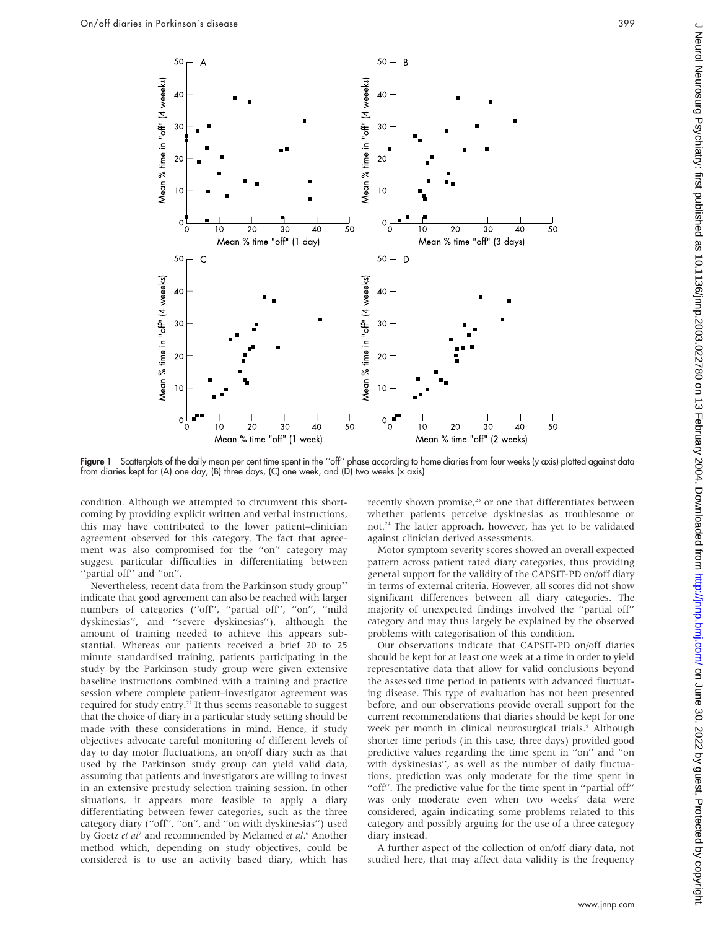

Figure 1 Scatterplots of the daily mean per cent time spent in the "off" phase according to home diaries from four weeks (y axis) plotted against data from diaries kept for (A) one day, (B) three days, (C) one week, and (D) two weeks (x axis).

condition. Although we attempted to circumvent this shortcoming by providing explicit written and verbal instructions, this may have contributed to the lower patient–clinician agreement observed for this category. The fact that agreement was also compromised for the "on" category may suggest particular difficulties in differentiating between "partial off" and "on".

Nevertheless, recent data from the Parkinson study group<sup>22</sup> indicate that good agreement can also be reached with larger numbers of categories (''off'', ''partial off'', ''on'', ''mild dyskinesias'', and ''severe dyskinesias''), although the amount of training needed to achieve this appears substantial. Whereas our patients received a brief 20 to 25 minute standardised training, patients participating in the study by the Parkinson study group were given extensive baseline instructions combined with a training and practice session where complete patient–investigator agreement was required for study entry.<sup>22</sup> It thus seems reasonable to suggest that the choice of diary in a particular study setting should be made with these considerations in mind. Hence, if study objectives advocate careful monitoring of different levels of day to day motor fluctuations, an on/off diary such as that used by the Parkinson study group can yield valid data, assuming that patients and investigators are willing to invest in an extensive prestudy selection training session. In other situations, it appears more feasible to apply a diary differentiating between fewer categories, such as the three category diary (''off'', ''on'', and ''on with dyskinesias'') used by Goetz et al<sup>7</sup> and recommended by Melamed et al.<sup>6</sup> Another method which, depending on study objectives, could be considered is to use an activity based diary, which has recently shown promise,<sup>23</sup> or one that differentiates between whether patients perceive dyskinesias as troublesome or not.<sup>24</sup> The latter approach, however, has yet to be validated against clinician derived assessments.

Motor symptom severity scores showed an overall expected pattern across patient rated diary categories, thus providing general support for the validity of the CAPSIT-PD on/off diary in terms of external criteria. However, all scores did not show significant differences between all diary categories. The majority of unexpected findings involved the ''partial off'' category and may thus largely be explained by the observed problems with categorisation of this condition.

Our observations indicate that CAPSIT-PD on/off diaries should be kept for at least one week at a time in order to yield representative data that allow for valid conclusions beyond the assessed time period in patients with advanced fluctuating disease. This type of evaluation has not been presented before, and our observations provide overall support for the current recommendations that diaries should be kept for one week per month in clinical neurosurgical trials.<sup>5</sup> Although shorter time periods (in this case, three days) provided good predictive values regarding the time spent in ''on'' and ''on with dyskinesias'', as well as the number of daily fluctuations, prediction was only moderate for the time spent in "off". The predictive value for the time spent in "partial off" was only moderate even when two weeks' data were considered, again indicating some problems related to this category and possibly arguing for the use of a three category diary instead.

A further aspect of the collection of on/off diary data, not studied here, that may affect data validity is the frequency